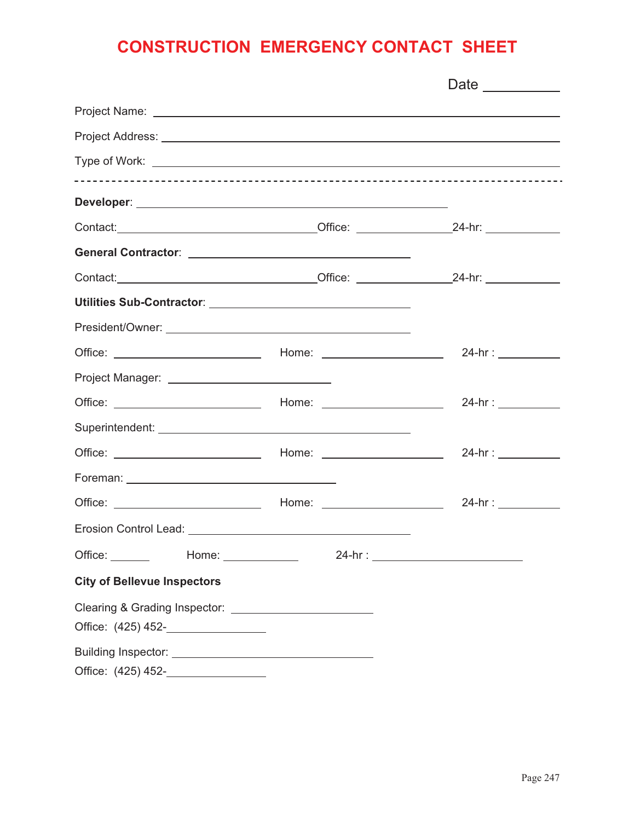#### **CONSTRUCTION EMERGENCY CONTACT SHEET**

| Contact: 24-hr: 24-hr: 24-hr: 25-hr: 25-hr: 25-hr: 25-hr: 25-hr: 25-hr: 25-hr: 25-hr: 25-hr: 25-hr: 25-hr: 25- |                                        |
|----------------------------------------------------------------------------------------------------------------|----------------------------------------|
|                                                                                                                |                                        |
|                                                                                                                |                                        |
|                                                                                                                |                                        |
|                                                                                                                |                                        |
|                                                                                                                |                                        |
|                                                                                                                |                                        |
|                                                                                                                | 24-hr : ____________                   |
|                                                                                                                |                                        |
|                                                                                                                |                                        |
|                                                                                                                |                                        |
| Office: ______<br>Home: $\_\_$                                                                                 | 24-hr : ______________________________ |
| <b>City of Bellevue Inspectors</b>                                                                             |                                        |
| Clearing & Grading Inspector: ____________________________                                                     |                                        |
| Office: (425) 452- <b>_________________</b>                                                                    |                                        |
|                                                                                                                |                                        |
| Office: (425) 452- <b>__________________</b>                                                                   |                                        |